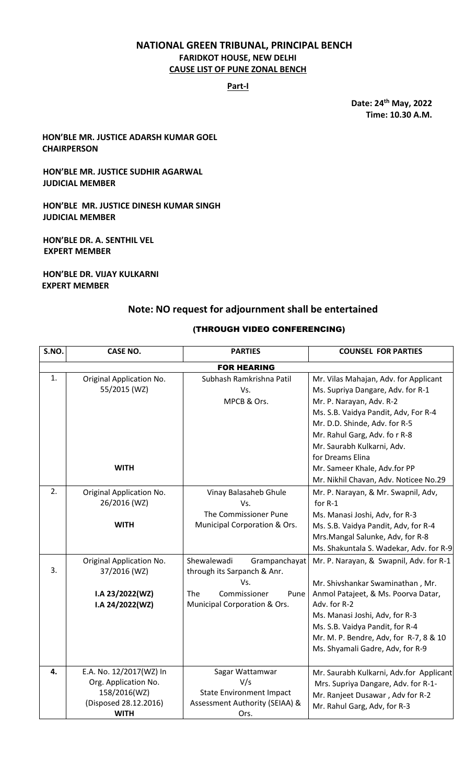# **NATIONAL GREEN TRIBUNAL, PRINCIPAL BENCH FARIDKOT HOUSE, NEW DELHI CAUSE LIST OF PUNE ZONAL BENCH**

**Part-I**

**Date: 24th May, 2022 Time: 10.30 A.M.**

**HON'BLE MR. JUSTICE ADARSH KUMAR GOEL CHAIRPERSON**

**HON'BLE MR. JUSTICE SUDHIR AGARWAL JUDICIAL MEMBER**

**HON'BLE MR. JUSTICE DINESH KUMAR SINGH JUDICIAL MEMBER**

**HON'BLE DR. A. SENTHIL VEL EXPERT MEMBER**

**HON'BLE DR. VIJAY KULKARNI EXPERT MEMBER**

# **Note: NO request for adjournment shall be entertained**

### (THROUGH VIDEO CONFERENCING)

| S.NO. | <b>CASE NO.</b>                                                                                         | <b>PARTIES</b>                                                                                      | <b>COUNSEL FOR PARTIES</b>                                                                                                                                                                             |  |
|-------|---------------------------------------------------------------------------------------------------------|-----------------------------------------------------------------------------------------------------|--------------------------------------------------------------------------------------------------------------------------------------------------------------------------------------------------------|--|
|       | <b>FOR HEARING</b>                                                                                      |                                                                                                     |                                                                                                                                                                                                        |  |
| 1.    | Original Application No.<br>55/2015 (WZ)                                                                | Subhash Ramkrishna Patil<br>Vs.<br>MPCB & Ors.                                                      | Mr. Vilas Mahajan, Adv. for Applicant<br>Ms. Supriya Dangare, Adv. for R-1<br>Mr. P. Narayan, Adv. R-2                                                                                                 |  |
|       |                                                                                                         |                                                                                                     | Ms. S.B. Vaidya Pandit, Adv, For R-4<br>Mr. D.D. Shinde, Adv. for R-5<br>Mr. Rahul Garg, Adv. fo r R-8<br>Mr. Saurabh Kulkarni, Adv.                                                                   |  |
|       | <b>WITH</b>                                                                                             |                                                                                                     | for Dreams Elina<br>Mr. Sameer Khale, Adv.for PP<br>Mr. Nikhil Chavan, Adv. Noticee No.29                                                                                                              |  |
| 2.    | Original Application No.<br>26/2016 (WZ)                                                                | Vinay Balasaheb Ghule<br>Vs.<br>The Commissioner Pune                                               | Mr. P. Narayan, & Mr. Swapnil, Adv,<br>for R-1<br>Ms. Manasi Joshi, Adv, for R-3                                                                                                                       |  |
|       | <b>WITH</b>                                                                                             | Municipal Corporation & Ors.                                                                        | Ms. S.B. Vaidya Pandit, Adv, for R-4<br>Mrs.Mangal Salunke, Adv, for R-8<br>Ms. Shakuntala S. Wadekar, Adv. for R-9                                                                                    |  |
| 3.    | Original Application No.<br>37/2016 (WZ)                                                                | Shewalewadi<br>Grampanchayat<br>through its Sarpanch & Anr.<br>Vs.                                  | Mr. P. Narayan, & Swapnil, Adv. for R-1<br>Mr. Shivshankar Swaminathan, Mr.                                                                                                                            |  |
|       | I.A 23/2022(WZ)<br>I.A 24/2022(WZ)                                                                      | Commissioner<br><b>The</b><br>Pune<br>Municipal Corporation & Ors.                                  | Anmol Patajeet, & Ms. Poorva Datar,<br>Adv. for R-2<br>Ms. Manasi Joshi, Adv, for R-3<br>Ms. S.B. Vaidya Pandit, for R-4<br>Mr. M. P. Bendre, Adv, for R-7, 8 & 10<br>Ms. Shyamali Gadre, Adv, for R-9 |  |
| 4.    | E.A. No. 12/2017(WZ) In<br>Org. Application No.<br>158/2016(WZ)<br>(Disposed 28.12.2016)<br><b>WITH</b> | Sagar Wattamwar<br>V/s<br><b>State Environment Impact</b><br>Assessment Authority (SEIAA) &<br>Ors. | Mr. Saurabh Kulkarni, Adv.for Applicant<br>Mrs. Supriya Dangare, Adv. for R-1-<br>Mr. Ranjeet Dusawar, Adv for R-2<br>Mr. Rahul Garg, Adv, for R-3                                                     |  |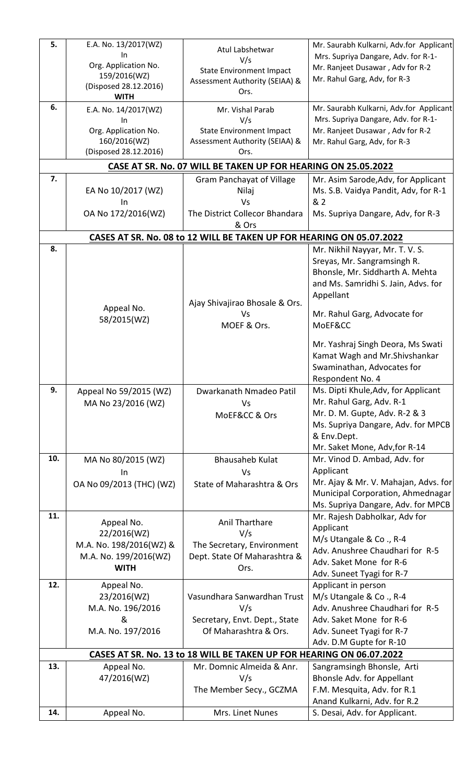| 5.<br>6. | E.A. No. 13/2017(WZ)<br>In<br>Org. Application No.<br>159/2016(WZ)<br>(Disposed 28.12.2016)<br><b>WITH</b><br>E.A. No. 14/2017(WZ)<br>In | Atul Labshetwar<br>V/s<br><b>State Environment Impact</b><br>Assessment Authority (SEIAA) &<br>Ors.<br>Mr. Vishal Parab<br>V/s | Mr. Saurabh Kulkarni, Adv.for Applicant<br>Mrs. Supriya Dangare, Adv. for R-1-<br>Mr. Ranjeet Dusawar, Adv for R-2<br>Mr. Rahul Garg, Adv, for R-3<br>Mr. Saurabh Kulkarni, Adv.for Applicant<br>Mrs. Supriya Dangare, Adv. for R-1- |
|----------|------------------------------------------------------------------------------------------------------------------------------------------|--------------------------------------------------------------------------------------------------------------------------------|--------------------------------------------------------------------------------------------------------------------------------------------------------------------------------------------------------------------------------------|
|          | Org. Application No.<br>160/2016(WZ)<br>(Disposed 28.12.2016)                                                                            | <b>State Environment Impact</b><br>Assessment Authority (SEIAA) &<br>Ors.                                                      | Mr. Ranjeet Dusawar, Adv for R-2<br>Mr. Rahul Garg, Adv, for R-3                                                                                                                                                                     |
|          |                                                                                                                                          | CASE AT SR. No. 07 WILL BE TAKEN UP FOR HEARING ON 25.05.2022                                                                  |                                                                                                                                                                                                                                      |
| 7.       |                                                                                                                                          | <b>Gram Panchayat of Village</b>                                                                                               | Mr. Asim Sarode, Adv, for Applicant                                                                                                                                                                                                  |
|          | EA No 10/2017 (WZ)                                                                                                                       | Nilaj                                                                                                                          | Ms. S.B. Vaidya Pandit, Adv, for R-1                                                                                                                                                                                                 |
|          | In<br>OA No 172/2016(WZ)                                                                                                                 | Vs<br>The District Collecor Bhandara                                                                                           | & 2<br>Ms. Supriya Dangare, Adv, for R-3                                                                                                                                                                                             |
|          |                                                                                                                                          | & Ors                                                                                                                          |                                                                                                                                                                                                                                      |
|          |                                                                                                                                          | CASES AT SR. No. 08 to 12 WILL BE TAKEN UP FOR HEARING ON 05.07.2022                                                           |                                                                                                                                                                                                                                      |
| 8.       |                                                                                                                                          |                                                                                                                                | Mr. Nikhil Nayyar, Mr. T. V. S.                                                                                                                                                                                                      |
|          |                                                                                                                                          | Ajay Shivajirao Bhosale & Ors.                                                                                                 | Sreyas, Mr. Sangramsingh R.<br>Bhonsle, Mr. Siddharth A. Mehta<br>and Ms. Samridhi S. Jain, Advs. for<br>Appellant                                                                                                                   |
|          | Appeal No.<br>58/2015(WZ)                                                                                                                | Vs                                                                                                                             | Mr. Rahul Garg, Advocate for                                                                                                                                                                                                         |
|          |                                                                                                                                          | MOEF & Ors.                                                                                                                    | MoEF&CC                                                                                                                                                                                                                              |
|          |                                                                                                                                          |                                                                                                                                | Mr. Yashraj Singh Deora, Ms Swati<br>Kamat Wagh and Mr. Shivshankar<br>Swaminathan, Advocates for<br>Respondent No. 4                                                                                                                |
| 9.       | Appeal No 59/2015 (WZ)                                                                                                                   | Dwarkanath Nmadeo Patil                                                                                                        | Ms. Dipti Khule, Adv, for Applicant                                                                                                                                                                                                  |
|          | MA No 23/2016 (WZ)                                                                                                                       | Vs                                                                                                                             | Mr. Rahul Garg, Adv. R-1<br>Mr. D. M. Gupte, Adv. R-2 & 3                                                                                                                                                                            |
|          |                                                                                                                                          | MoEF&CC & Ors                                                                                                                  | Ms. Supriya Dangare, Adv. for MPCB                                                                                                                                                                                                   |
|          |                                                                                                                                          |                                                                                                                                | & Env.Dept.                                                                                                                                                                                                                          |
|          |                                                                                                                                          |                                                                                                                                | Mr. Saket Mone, Adv, for R-14                                                                                                                                                                                                        |
| 10.      | MA No 80/2015 (WZ)                                                                                                                       | <b>Bhausaheb Kulat</b>                                                                                                         | Mr. Vinod D. Ambad, Adv. for                                                                                                                                                                                                         |
|          | In                                                                                                                                       | <b>Vs</b>                                                                                                                      | Applicant<br>Mr. Ajay & Mr. V. Mahajan, Advs. for                                                                                                                                                                                    |
|          | OA No 09/2013 (THC) (WZ)                                                                                                                 | State of Maharashtra & Ors                                                                                                     | Municipal Corporation, Ahmednagar                                                                                                                                                                                                    |
|          |                                                                                                                                          |                                                                                                                                | Ms. Supriya Dangare, Adv. for MPCB                                                                                                                                                                                                   |
| 11.      | Appeal No.                                                                                                                               | Anil Tharthare                                                                                                                 | Mr. Rajesh Dabholkar, Adv for                                                                                                                                                                                                        |
|          | 22/2016(WZ)                                                                                                                              | V/s                                                                                                                            | Applicant                                                                                                                                                                                                                            |
|          | M.A. No. 198/2016(WZ) &                                                                                                                  | The Secretary, Environment                                                                                                     | M/s Utangale & Co., R-4<br>Adv. Anushree Chaudhari for R-5                                                                                                                                                                           |
|          | M.A. No. 199/2016(WZ)                                                                                                                    | Dept. State Of Maharashtra &                                                                                                   | Adv. Saket Mone for R-6                                                                                                                                                                                                              |
|          | <b>WITH</b>                                                                                                                              | Ors.                                                                                                                           | Adv. Suneet Tyagi for R-7                                                                                                                                                                                                            |
| 12.      | Appeal No.                                                                                                                               |                                                                                                                                | Applicant in person                                                                                                                                                                                                                  |
|          | 23/2016(WZ)                                                                                                                              | Vasundhara Sanwardhan Trust                                                                                                    | M/s Utangale & Co., R-4                                                                                                                                                                                                              |
|          | M.A. No. 196/2016<br>&                                                                                                                   | V/s<br>Secretary, Envt. Dept., State                                                                                           | Adv. Anushree Chaudhari for R-5<br>Adv. Saket Mone for R-6                                                                                                                                                                           |
|          | M.A. No. 197/2016                                                                                                                        | Of Maharashtra & Ors.                                                                                                          | Adv. Suneet Tyagi for R-7                                                                                                                                                                                                            |
|          |                                                                                                                                          |                                                                                                                                | Adv. D.M Gupte for R-10                                                                                                                                                                                                              |
|          |                                                                                                                                          | CASES AT SR. No. 13 to 18 WILL BE TAKEN UP FOR HEARING ON 06.07.2022                                                           |                                                                                                                                                                                                                                      |
| 13.      | Appeal No.<br>47/2016(WZ)                                                                                                                | Mr. Domnic Almeida & Anr.<br>V/s                                                                                               | Sangramsingh Bhonsle, Arti<br>Bhonsle Adv. for Appellant                                                                                                                                                                             |
|          |                                                                                                                                          | The Member Secy., GCZMA                                                                                                        | F.M. Mesquita, Adv. for R.1                                                                                                                                                                                                          |
|          |                                                                                                                                          |                                                                                                                                | Anand Kulkarni, Adv. for R.2                                                                                                                                                                                                         |
| 14.      | Appeal No.                                                                                                                               | Mrs. Linet Nunes                                                                                                               | S. Desai, Adv. for Applicant.                                                                                                                                                                                                        |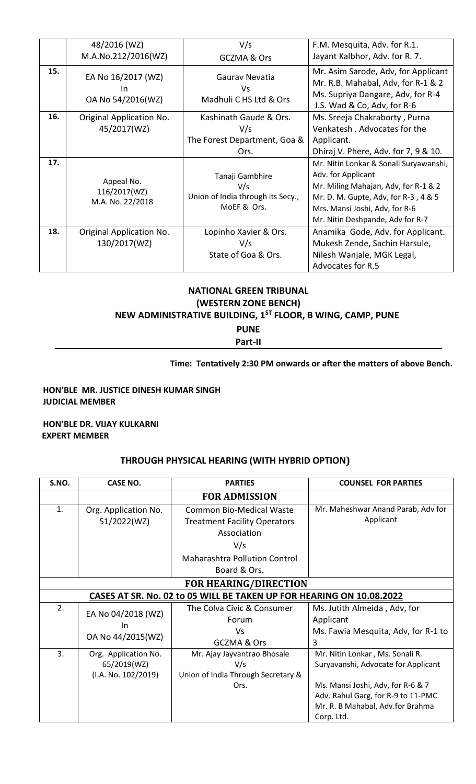|     | 48/2016 (WZ)                                   | V/s                                                                        | F.M. Mesquita, Adv. for R.1.                                                                                                                                                                                       |
|-----|------------------------------------------------|----------------------------------------------------------------------------|--------------------------------------------------------------------------------------------------------------------------------------------------------------------------------------------------------------------|
|     | M.A.No.212/2016(WZ)                            | GCZMA & Ors                                                                | Jayant Kalbhor, Adv. for R. 7.                                                                                                                                                                                     |
| 15. | EA No 16/2017 (WZ)<br>In.<br>OA No 54/2016(WZ) | Gaurav Nevatia<br>Vs.<br>Madhuli C HS Ltd & Ors                            | Mr. Asim Sarode, Adv, for Applicant<br>Mr. R.B. Mahabal, Adv, for R-1 & 2<br>Ms. Supriya Dangare, Adv, for R-4<br>J.S. Wad & Co, Adv, for R-6                                                                      |
| 16. | Original Application No.                       | Kashinath Gaude & Ors.                                                     | Ms. Sreeja Chakraborty, Purna                                                                                                                                                                                      |
|     | 45/2017(WZ)                                    | V/s                                                                        | Venkatesh, Advocates for the                                                                                                                                                                                       |
|     |                                                | The Forest Department, Goa &                                               | Applicant.                                                                                                                                                                                                         |
|     |                                                | Ors.                                                                       | Dhiraj V. Phere, Adv. for 7, 9 & 10.                                                                                                                                                                               |
| 17. | Appeal No.<br>116/2017(WZ)<br>M.A. No. 22/2018 | Tanaji Gambhire<br>V/s<br>Union of India through its Secy.,<br>MoEF & Ors. | Mr. Nitin Lonkar & Sonali Suryawanshi,<br>Adv. for Applicant<br>Mr. Miling Mahajan, Adv, for R-1 & 2<br>Mr. D. M. Gupte, Adv, for R-3, 4 & 5<br>Mrs. Mansi Joshi, Adv, for R-6<br>Mr. Nitin Deshpande, Adv for R-7 |
| 18. | Original Application No.                       | Lopinho Xavier & Ors.                                                      | Anamika Gode, Adv. for Applicant.                                                                                                                                                                                  |
|     | 130/2017(WZ)                                   | V/s                                                                        | Mukesh Zende, Sachin Harsule,                                                                                                                                                                                      |
|     |                                                | State of Goa & Ors.                                                        | Nilesh Wanjale, MGK Legal,                                                                                                                                                                                         |
|     |                                                |                                                                            | Advocates for R.5                                                                                                                                                                                                  |

# **NATIONAL GREEN TRIBUNAL (WESTERN ZONE BENCH) NEW ADMINISTRATIVE BUILDING, 1ST FLOOR, B WING, CAMP, PUNE**

**PUNE Part-II**

# **Time: Tentatively 2:30 PM onwards or after the matters of above Bench.**

### **HON'BLE MR. JUSTICE DINESH KUMAR SINGH JUDICIAL MEMBER**

### **HON'BLE DR. VIJAY KULKARNI EXPERT MEMBER**

# **THROUGH PHYSICAL HEARING (WITH HYBRID OPTION)**

| S.NO.                                                                | <b>CASE NO.</b>          | <b>PARTIES</b>                       | <b>COUNSEL FOR PARTIES</b>          |  |
|----------------------------------------------------------------------|--------------------------|--------------------------------------|-------------------------------------|--|
|                                                                      |                          | <b>FOR ADMISSION</b>                 |                                     |  |
| 1.                                                                   | Org. Application No.     | <b>Common Bio-Medical Waste</b>      | Mr. Maheshwar Anand Parab, Adv for  |  |
|                                                                      | 51/2022(WZ)              | <b>Treatment Facility Operators</b>  | Applicant                           |  |
|                                                                      |                          | Association                          |                                     |  |
|                                                                      |                          | V/s                                  |                                     |  |
|                                                                      |                          | <b>Maharashtra Pollution Control</b> |                                     |  |
|                                                                      |                          | Board & Ors.                         |                                     |  |
| <b>FOR HEARING/DIRECTION</b>                                         |                          |                                      |                                     |  |
| CASES AT SR. No. 02 to 05 WILL BE TAKEN UP FOR HEARING ON 10.08.2022 |                          |                                      |                                     |  |
| 2.                                                                   | EA No 04/2018 (WZ)       | The Colva Civic & Consumer           | Ms. Jutith Almeida, Adv, for        |  |
|                                                                      | In.<br>OA No 44/2015(WZ) | Forum                                | Applicant                           |  |
|                                                                      |                          | Vs                                   | Ms. Fawia Mesquita, Adv, for R-1 to |  |
|                                                                      |                          | GCZMA & Ors                          | 3                                   |  |
| 3.                                                                   | Org. Application No.     | Mr. Ajay Jayvantrao Bhosale          | Mr. Nitin Lonkar, Ms. Sonali R.     |  |
|                                                                      | 65/2019(WZ)              | V/s                                  | Suryavanshi, Advocate for Applicant |  |
|                                                                      | (I.A. No. 102/2019)      | Union of India Through Secretary &   |                                     |  |
|                                                                      |                          | Ors.                                 | Ms. Mansi Joshi, Adv, for R-6 & 7   |  |
|                                                                      |                          |                                      | Adv. Rahul Garg, for R-9 to 11-PMC  |  |
|                                                                      |                          |                                      | Mr. R. B Mahabal, Adv.for Brahma    |  |
|                                                                      |                          |                                      | Corp. Ltd.                          |  |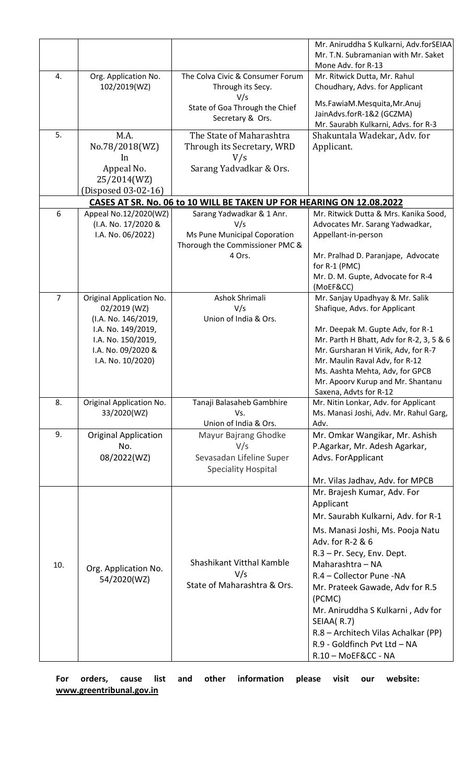| Mr. T.N. Subramanian with Mr. Saket<br>Mone Adv. for R-13<br>The Colva Civic & Consumer Forum<br>4.<br>Org. Application No.<br>Mr. Ritwick Dutta, Mr. Rahul<br>102/2019(WZ)<br>Through its Secy.<br>Choudhary, Advs. for Applicant<br>V/s<br>Ms.FawiaM.Mesquita, Mr.Anuj<br>State of Goa Through the Chief<br>JainAdvs.forR-1&2 (GCZMA)<br>Secretary & Ors.<br>Mr. Saurabh Kulkarni, Advs. for R-3<br>5.<br>M.A.<br>The State of Maharashtra<br>Shakuntala Wadekar, Adv. for<br>No.78/2018(WZ)<br>Through its Secretary, WRD<br>Applicant.<br>V/s<br>In<br>Appeal No.<br>Sarang Yadvadkar & Ors.<br>25/2014(WZ)<br>(Disposed 03-02-16)<br>CASES AT SR. No. 06 to 10 WILL BE TAKEN UP FOR HEARING ON 12.08.2022<br>Appeal No.12/2020(WZ)<br>Sarang Yadwadkar & 1 Anr.<br>Mr. Ritwick Dutta & Mrs. Kanika Sood,<br>6<br>(I.A. No. 17/2020 &<br>V/s<br>Advocates Mr. Sarang Yadwadkar,<br>I.A. No. 06/2022)<br>Ms Pune Municipal Coporation<br>Appellant-in-person<br>Thorough the Commissioner PMC &<br>4 Ors.<br>Mr. Pralhad D. Paranjape, Advocate<br>for R-1 (PMC)<br>Mr. D. M. Gupte, Advocate for R-4<br>(MoEF&CC)<br>$\overline{7}$<br>Original Application No.<br>Ashok Shrimali<br>Mr. Sanjay Upadhyay & Mr. Salik<br>V/s<br>02/2019 (WZ)<br>Shafique, Advs. for Applicant<br>Union of India & Ors.<br>(I.A. No. 146/2019,<br>I.A. No. 149/2019,<br>Mr. Deepak M. Gupte Adv, for R-1<br>I.A. No. 150/2019,<br>Mr. Parth H Bhatt, Adv for R-2, 3, 5 & 6<br>I.A. No. 09/2020 &<br>Mr. Gursharan H Virik, Adv, for R-7<br>Mr. Maulin Raval Adv, for R-12<br>I.A. No. 10/2020)<br>Ms. Aashta Mehta, Adv, for GPCB<br>Mr. Apoorv Kurup and Mr. Shantanu<br>Saxena, Advts for R-12<br>8.<br>Mr. Nitin Lonkar, Adv. for Applicant<br>Original Application No.<br>Tanaji Balasaheb Gambhire<br>33/2020(WZ)<br>Ms. Manasi Joshi, Adv. Mr. Rahul Garg,<br>Vs.<br>Union of India & Ors.<br>Adv.<br>9.<br><b>Original Application</b><br>Mr. Omkar Wangikar, Mr. Ashish<br>Mayur Bajrang Ghodke<br>No.<br>V/s<br>P.Agarkar, Mr. Adesh Agarkar,<br>08/2022(WZ)<br>Sevasadan Lifeline Super<br>Advs. For Applicant<br><b>Speciality Hospital</b><br>Mr. Vilas Jadhav, Adv. for MPCB<br>Mr. Brajesh Kumar, Adv. For<br>Applicant<br>Mr. Saurabh Kulkarni, Adv. for R-1<br>Ms. Manasi Joshi, Ms. Pooja Natu<br>Adv. for R-2 & 6<br>R.3 - Pr. Secy, Env. Dept.<br>Shashikant Vitthal Kamble<br>Maharashtra - NA<br>10.<br>Org. Application No.<br>V/s<br>R.4 - Collector Pune -NA<br>54/2020(WZ)<br>State of Maharashtra & Ors.<br>Mr. Prateek Gawade, Adv for R.5<br>(PCMC)<br>Mr. Aniruddha S Kulkarni, Adv for<br>SEIAA(R.7)<br>R.8 - Architech Vilas Achalkar (PP) |  | Mr. Aniruddha S Kulkarni, Adv.forSEIAA |
|-------------------------------------------------------------------------------------------------------------------------------------------------------------------------------------------------------------------------------------------------------------------------------------------------------------------------------------------------------------------------------------------------------------------------------------------------------------------------------------------------------------------------------------------------------------------------------------------------------------------------------------------------------------------------------------------------------------------------------------------------------------------------------------------------------------------------------------------------------------------------------------------------------------------------------------------------------------------------------------------------------------------------------------------------------------------------------------------------------------------------------------------------------------------------------------------------------------------------------------------------------------------------------------------------------------------------------------------------------------------------------------------------------------------------------------------------------------------------------------------------------------------------------------------------------------------------------------------------------------------------------------------------------------------------------------------------------------------------------------------------------------------------------------------------------------------------------------------------------------------------------------------------------------------------------------------------------------------------------------------------------------------------------------------------------------------------------------------------------------------------------------------------------------------------------------------------------------------------------------------------------------------------------------------------------------------------------------------------------------------------------------------------------------------------------------------------------------------------------------------------------------------------------------------------------------------------------------------------------------------------------------------------------------|--|----------------------------------------|
|                                                                                                                                                                                                                                                                                                                                                                                                                                                                                                                                                                                                                                                                                                                                                                                                                                                                                                                                                                                                                                                                                                                                                                                                                                                                                                                                                                                                                                                                                                                                                                                                                                                                                                                                                                                                                                                                                                                                                                                                                                                                                                                                                                                                                                                                                                                                                                                                                                                                                                                                                                                                                                                             |  |                                        |
|                                                                                                                                                                                                                                                                                                                                                                                                                                                                                                                                                                                                                                                                                                                                                                                                                                                                                                                                                                                                                                                                                                                                                                                                                                                                                                                                                                                                                                                                                                                                                                                                                                                                                                                                                                                                                                                                                                                                                                                                                                                                                                                                                                                                                                                                                                                                                                                                                                                                                                                                                                                                                                                             |  |                                        |
|                                                                                                                                                                                                                                                                                                                                                                                                                                                                                                                                                                                                                                                                                                                                                                                                                                                                                                                                                                                                                                                                                                                                                                                                                                                                                                                                                                                                                                                                                                                                                                                                                                                                                                                                                                                                                                                                                                                                                                                                                                                                                                                                                                                                                                                                                                                                                                                                                                                                                                                                                                                                                                                             |  |                                        |
|                                                                                                                                                                                                                                                                                                                                                                                                                                                                                                                                                                                                                                                                                                                                                                                                                                                                                                                                                                                                                                                                                                                                                                                                                                                                                                                                                                                                                                                                                                                                                                                                                                                                                                                                                                                                                                                                                                                                                                                                                                                                                                                                                                                                                                                                                                                                                                                                                                                                                                                                                                                                                                                             |  |                                        |
|                                                                                                                                                                                                                                                                                                                                                                                                                                                                                                                                                                                                                                                                                                                                                                                                                                                                                                                                                                                                                                                                                                                                                                                                                                                                                                                                                                                                                                                                                                                                                                                                                                                                                                                                                                                                                                                                                                                                                                                                                                                                                                                                                                                                                                                                                                                                                                                                                                                                                                                                                                                                                                                             |  |                                        |
|                                                                                                                                                                                                                                                                                                                                                                                                                                                                                                                                                                                                                                                                                                                                                                                                                                                                                                                                                                                                                                                                                                                                                                                                                                                                                                                                                                                                                                                                                                                                                                                                                                                                                                                                                                                                                                                                                                                                                                                                                                                                                                                                                                                                                                                                                                                                                                                                                                                                                                                                                                                                                                                             |  |                                        |
|                                                                                                                                                                                                                                                                                                                                                                                                                                                                                                                                                                                                                                                                                                                                                                                                                                                                                                                                                                                                                                                                                                                                                                                                                                                                                                                                                                                                                                                                                                                                                                                                                                                                                                                                                                                                                                                                                                                                                                                                                                                                                                                                                                                                                                                                                                                                                                                                                                                                                                                                                                                                                                                             |  |                                        |
|                                                                                                                                                                                                                                                                                                                                                                                                                                                                                                                                                                                                                                                                                                                                                                                                                                                                                                                                                                                                                                                                                                                                                                                                                                                                                                                                                                                                                                                                                                                                                                                                                                                                                                                                                                                                                                                                                                                                                                                                                                                                                                                                                                                                                                                                                                                                                                                                                                                                                                                                                                                                                                                             |  |                                        |
|                                                                                                                                                                                                                                                                                                                                                                                                                                                                                                                                                                                                                                                                                                                                                                                                                                                                                                                                                                                                                                                                                                                                                                                                                                                                                                                                                                                                                                                                                                                                                                                                                                                                                                                                                                                                                                                                                                                                                                                                                                                                                                                                                                                                                                                                                                                                                                                                                                                                                                                                                                                                                                                             |  |                                        |
|                                                                                                                                                                                                                                                                                                                                                                                                                                                                                                                                                                                                                                                                                                                                                                                                                                                                                                                                                                                                                                                                                                                                                                                                                                                                                                                                                                                                                                                                                                                                                                                                                                                                                                                                                                                                                                                                                                                                                                                                                                                                                                                                                                                                                                                                                                                                                                                                                                                                                                                                                                                                                                                             |  |                                        |
|                                                                                                                                                                                                                                                                                                                                                                                                                                                                                                                                                                                                                                                                                                                                                                                                                                                                                                                                                                                                                                                                                                                                                                                                                                                                                                                                                                                                                                                                                                                                                                                                                                                                                                                                                                                                                                                                                                                                                                                                                                                                                                                                                                                                                                                                                                                                                                                                                                                                                                                                                                                                                                                             |  |                                        |
|                                                                                                                                                                                                                                                                                                                                                                                                                                                                                                                                                                                                                                                                                                                                                                                                                                                                                                                                                                                                                                                                                                                                                                                                                                                                                                                                                                                                                                                                                                                                                                                                                                                                                                                                                                                                                                                                                                                                                                                                                                                                                                                                                                                                                                                                                                                                                                                                                                                                                                                                                                                                                                                             |  |                                        |
|                                                                                                                                                                                                                                                                                                                                                                                                                                                                                                                                                                                                                                                                                                                                                                                                                                                                                                                                                                                                                                                                                                                                                                                                                                                                                                                                                                                                                                                                                                                                                                                                                                                                                                                                                                                                                                                                                                                                                                                                                                                                                                                                                                                                                                                                                                                                                                                                                                                                                                                                                                                                                                                             |  |                                        |
|                                                                                                                                                                                                                                                                                                                                                                                                                                                                                                                                                                                                                                                                                                                                                                                                                                                                                                                                                                                                                                                                                                                                                                                                                                                                                                                                                                                                                                                                                                                                                                                                                                                                                                                                                                                                                                                                                                                                                                                                                                                                                                                                                                                                                                                                                                                                                                                                                                                                                                                                                                                                                                                             |  |                                        |
|                                                                                                                                                                                                                                                                                                                                                                                                                                                                                                                                                                                                                                                                                                                                                                                                                                                                                                                                                                                                                                                                                                                                                                                                                                                                                                                                                                                                                                                                                                                                                                                                                                                                                                                                                                                                                                                                                                                                                                                                                                                                                                                                                                                                                                                                                                                                                                                                                                                                                                                                                                                                                                                             |  |                                        |
|                                                                                                                                                                                                                                                                                                                                                                                                                                                                                                                                                                                                                                                                                                                                                                                                                                                                                                                                                                                                                                                                                                                                                                                                                                                                                                                                                                                                                                                                                                                                                                                                                                                                                                                                                                                                                                                                                                                                                                                                                                                                                                                                                                                                                                                                                                                                                                                                                                                                                                                                                                                                                                                             |  |                                        |
|                                                                                                                                                                                                                                                                                                                                                                                                                                                                                                                                                                                                                                                                                                                                                                                                                                                                                                                                                                                                                                                                                                                                                                                                                                                                                                                                                                                                                                                                                                                                                                                                                                                                                                                                                                                                                                                                                                                                                                                                                                                                                                                                                                                                                                                                                                                                                                                                                                                                                                                                                                                                                                                             |  |                                        |
|                                                                                                                                                                                                                                                                                                                                                                                                                                                                                                                                                                                                                                                                                                                                                                                                                                                                                                                                                                                                                                                                                                                                                                                                                                                                                                                                                                                                                                                                                                                                                                                                                                                                                                                                                                                                                                                                                                                                                                                                                                                                                                                                                                                                                                                                                                                                                                                                                                                                                                                                                                                                                                                             |  |                                        |
|                                                                                                                                                                                                                                                                                                                                                                                                                                                                                                                                                                                                                                                                                                                                                                                                                                                                                                                                                                                                                                                                                                                                                                                                                                                                                                                                                                                                                                                                                                                                                                                                                                                                                                                                                                                                                                                                                                                                                                                                                                                                                                                                                                                                                                                                                                                                                                                                                                                                                                                                                                                                                                                             |  |                                        |
|                                                                                                                                                                                                                                                                                                                                                                                                                                                                                                                                                                                                                                                                                                                                                                                                                                                                                                                                                                                                                                                                                                                                                                                                                                                                                                                                                                                                                                                                                                                                                                                                                                                                                                                                                                                                                                                                                                                                                                                                                                                                                                                                                                                                                                                                                                                                                                                                                                                                                                                                                                                                                                                             |  |                                        |
|                                                                                                                                                                                                                                                                                                                                                                                                                                                                                                                                                                                                                                                                                                                                                                                                                                                                                                                                                                                                                                                                                                                                                                                                                                                                                                                                                                                                                                                                                                                                                                                                                                                                                                                                                                                                                                                                                                                                                                                                                                                                                                                                                                                                                                                                                                                                                                                                                                                                                                                                                                                                                                                             |  |                                        |
|                                                                                                                                                                                                                                                                                                                                                                                                                                                                                                                                                                                                                                                                                                                                                                                                                                                                                                                                                                                                                                                                                                                                                                                                                                                                                                                                                                                                                                                                                                                                                                                                                                                                                                                                                                                                                                                                                                                                                                                                                                                                                                                                                                                                                                                                                                                                                                                                                                                                                                                                                                                                                                                             |  |                                        |
|                                                                                                                                                                                                                                                                                                                                                                                                                                                                                                                                                                                                                                                                                                                                                                                                                                                                                                                                                                                                                                                                                                                                                                                                                                                                                                                                                                                                                                                                                                                                                                                                                                                                                                                                                                                                                                                                                                                                                                                                                                                                                                                                                                                                                                                                                                                                                                                                                                                                                                                                                                                                                                                             |  |                                        |
|                                                                                                                                                                                                                                                                                                                                                                                                                                                                                                                                                                                                                                                                                                                                                                                                                                                                                                                                                                                                                                                                                                                                                                                                                                                                                                                                                                                                                                                                                                                                                                                                                                                                                                                                                                                                                                                                                                                                                                                                                                                                                                                                                                                                                                                                                                                                                                                                                                                                                                                                                                                                                                                             |  |                                        |
|                                                                                                                                                                                                                                                                                                                                                                                                                                                                                                                                                                                                                                                                                                                                                                                                                                                                                                                                                                                                                                                                                                                                                                                                                                                                                                                                                                                                                                                                                                                                                                                                                                                                                                                                                                                                                                                                                                                                                                                                                                                                                                                                                                                                                                                                                                                                                                                                                                                                                                                                                                                                                                                             |  |                                        |
|                                                                                                                                                                                                                                                                                                                                                                                                                                                                                                                                                                                                                                                                                                                                                                                                                                                                                                                                                                                                                                                                                                                                                                                                                                                                                                                                                                                                                                                                                                                                                                                                                                                                                                                                                                                                                                                                                                                                                                                                                                                                                                                                                                                                                                                                                                                                                                                                                                                                                                                                                                                                                                                             |  |                                        |
|                                                                                                                                                                                                                                                                                                                                                                                                                                                                                                                                                                                                                                                                                                                                                                                                                                                                                                                                                                                                                                                                                                                                                                                                                                                                                                                                                                                                                                                                                                                                                                                                                                                                                                                                                                                                                                                                                                                                                                                                                                                                                                                                                                                                                                                                                                                                                                                                                                                                                                                                                                                                                                                             |  |                                        |
|                                                                                                                                                                                                                                                                                                                                                                                                                                                                                                                                                                                                                                                                                                                                                                                                                                                                                                                                                                                                                                                                                                                                                                                                                                                                                                                                                                                                                                                                                                                                                                                                                                                                                                                                                                                                                                                                                                                                                                                                                                                                                                                                                                                                                                                                                                                                                                                                                                                                                                                                                                                                                                                             |  |                                        |
|                                                                                                                                                                                                                                                                                                                                                                                                                                                                                                                                                                                                                                                                                                                                                                                                                                                                                                                                                                                                                                                                                                                                                                                                                                                                                                                                                                                                                                                                                                                                                                                                                                                                                                                                                                                                                                                                                                                                                                                                                                                                                                                                                                                                                                                                                                                                                                                                                                                                                                                                                                                                                                                             |  |                                        |
|                                                                                                                                                                                                                                                                                                                                                                                                                                                                                                                                                                                                                                                                                                                                                                                                                                                                                                                                                                                                                                                                                                                                                                                                                                                                                                                                                                                                                                                                                                                                                                                                                                                                                                                                                                                                                                                                                                                                                                                                                                                                                                                                                                                                                                                                                                                                                                                                                                                                                                                                                                                                                                                             |  |                                        |
|                                                                                                                                                                                                                                                                                                                                                                                                                                                                                                                                                                                                                                                                                                                                                                                                                                                                                                                                                                                                                                                                                                                                                                                                                                                                                                                                                                                                                                                                                                                                                                                                                                                                                                                                                                                                                                                                                                                                                                                                                                                                                                                                                                                                                                                                                                                                                                                                                                                                                                                                                                                                                                                             |  |                                        |
|                                                                                                                                                                                                                                                                                                                                                                                                                                                                                                                                                                                                                                                                                                                                                                                                                                                                                                                                                                                                                                                                                                                                                                                                                                                                                                                                                                                                                                                                                                                                                                                                                                                                                                                                                                                                                                                                                                                                                                                                                                                                                                                                                                                                                                                                                                                                                                                                                                                                                                                                                                                                                                                             |  |                                        |
|                                                                                                                                                                                                                                                                                                                                                                                                                                                                                                                                                                                                                                                                                                                                                                                                                                                                                                                                                                                                                                                                                                                                                                                                                                                                                                                                                                                                                                                                                                                                                                                                                                                                                                                                                                                                                                                                                                                                                                                                                                                                                                                                                                                                                                                                                                                                                                                                                                                                                                                                                                                                                                                             |  |                                        |
|                                                                                                                                                                                                                                                                                                                                                                                                                                                                                                                                                                                                                                                                                                                                                                                                                                                                                                                                                                                                                                                                                                                                                                                                                                                                                                                                                                                                                                                                                                                                                                                                                                                                                                                                                                                                                                                                                                                                                                                                                                                                                                                                                                                                                                                                                                                                                                                                                                                                                                                                                                                                                                                             |  |                                        |
|                                                                                                                                                                                                                                                                                                                                                                                                                                                                                                                                                                                                                                                                                                                                                                                                                                                                                                                                                                                                                                                                                                                                                                                                                                                                                                                                                                                                                                                                                                                                                                                                                                                                                                                                                                                                                                                                                                                                                                                                                                                                                                                                                                                                                                                                                                                                                                                                                                                                                                                                                                                                                                                             |  |                                        |
|                                                                                                                                                                                                                                                                                                                                                                                                                                                                                                                                                                                                                                                                                                                                                                                                                                                                                                                                                                                                                                                                                                                                                                                                                                                                                                                                                                                                                                                                                                                                                                                                                                                                                                                                                                                                                                                                                                                                                                                                                                                                                                                                                                                                                                                                                                                                                                                                                                                                                                                                                                                                                                                             |  |                                        |
|                                                                                                                                                                                                                                                                                                                                                                                                                                                                                                                                                                                                                                                                                                                                                                                                                                                                                                                                                                                                                                                                                                                                                                                                                                                                                                                                                                                                                                                                                                                                                                                                                                                                                                                                                                                                                                                                                                                                                                                                                                                                                                                                                                                                                                                                                                                                                                                                                                                                                                                                                                                                                                                             |  |                                        |
|                                                                                                                                                                                                                                                                                                                                                                                                                                                                                                                                                                                                                                                                                                                                                                                                                                                                                                                                                                                                                                                                                                                                                                                                                                                                                                                                                                                                                                                                                                                                                                                                                                                                                                                                                                                                                                                                                                                                                                                                                                                                                                                                                                                                                                                                                                                                                                                                                                                                                                                                                                                                                                                             |  |                                        |
|                                                                                                                                                                                                                                                                                                                                                                                                                                                                                                                                                                                                                                                                                                                                                                                                                                                                                                                                                                                                                                                                                                                                                                                                                                                                                                                                                                                                                                                                                                                                                                                                                                                                                                                                                                                                                                                                                                                                                                                                                                                                                                                                                                                                                                                                                                                                                                                                                                                                                                                                                                                                                                                             |  |                                        |
|                                                                                                                                                                                                                                                                                                                                                                                                                                                                                                                                                                                                                                                                                                                                                                                                                                                                                                                                                                                                                                                                                                                                                                                                                                                                                                                                                                                                                                                                                                                                                                                                                                                                                                                                                                                                                                                                                                                                                                                                                                                                                                                                                                                                                                                                                                                                                                                                                                                                                                                                                                                                                                                             |  |                                        |
|                                                                                                                                                                                                                                                                                                                                                                                                                                                                                                                                                                                                                                                                                                                                                                                                                                                                                                                                                                                                                                                                                                                                                                                                                                                                                                                                                                                                                                                                                                                                                                                                                                                                                                                                                                                                                                                                                                                                                                                                                                                                                                                                                                                                                                                                                                                                                                                                                                                                                                                                                                                                                                                             |  |                                        |
|                                                                                                                                                                                                                                                                                                                                                                                                                                                                                                                                                                                                                                                                                                                                                                                                                                                                                                                                                                                                                                                                                                                                                                                                                                                                                                                                                                                                                                                                                                                                                                                                                                                                                                                                                                                                                                                                                                                                                                                                                                                                                                                                                                                                                                                                                                                                                                                                                                                                                                                                                                                                                                                             |  |                                        |
|                                                                                                                                                                                                                                                                                                                                                                                                                                                                                                                                                                                                                                                                                                                                                                                                                                                                                                                                                                                                                                                                                                                                                                                                                                                                                                                                                                                                                                                                                                                                                                                                                                                                                                                                                                                                                                                                                                                                                                                                                                                                                                                                                                                                                                                                                                                                                                                                                                                                                                                                                                                                                                                             |  |                                        |
|                                                                                                                                                                                                                                                                                                                                                                                                                                                                                                                                                                                                                                                                                                                                                                                                                                                                                                                                                                                                                                                                                                                                                                                                                                                                                                                                                                                                                                                                                                                                                                                                                                                                                                                                                                                                                                                                                                                                                                                                                                                                                                                                                                                                                                                                                                                                                                                                                                                                                                                                                                                                                                                             |  |                                        |
|                                                                                                                                                                                                                                                                                                                                                                                                                                                                                                                                                                                                                                                                                                                                                                                                                                                                                                                                                                                                                                                                                                                                                                                                                                                                                                                                                                                                                                                                                                                                                                                                                                                                                                                                                                                                                                                                                                                                                                                                                                                                                                                                                                                                                                                                                                                                                                                                                                                                                                                                                                                                                                                             |  |                                        |
| R.9 - Goldfinch Pvt Ltd - NA                                                                                                                                                                                                                                                                                                                                                                                                                                                                                                                                                                                                                                                                                                                                                                                                                                                                                                                                                                                                                                                                                                                                                                                                                                                                                                                                                                                                                                                                                                                                                                                                                                                                                                                                                                                                                                                                                                                                                                                                                                                                                                                                                                                                                                                                                                                                                                                                                                                                                                                                                                                                                                |  |                                        |
| R.10 - MoEF&CC - NA                                                                                                                                                                                                                                                                                                                                                                                                                                                                                                                                                                                                                                                                                                                                                                                                                                                                                                                                                                                                                                                                                                                                                                                                                                                                                                                                                                                                                                                                                                                                                                                                                                                                                                                                                                                                                                                                                                                                                                                                                                                                                                                                                                                                                                                                                                                                                                                                                                                                                                                                                                                                                                         |  |                                        |

**For orders, cause list and other information please visit our website: [www.greentribunal.gov.in](http://www.greentribunal.gov.in/)**